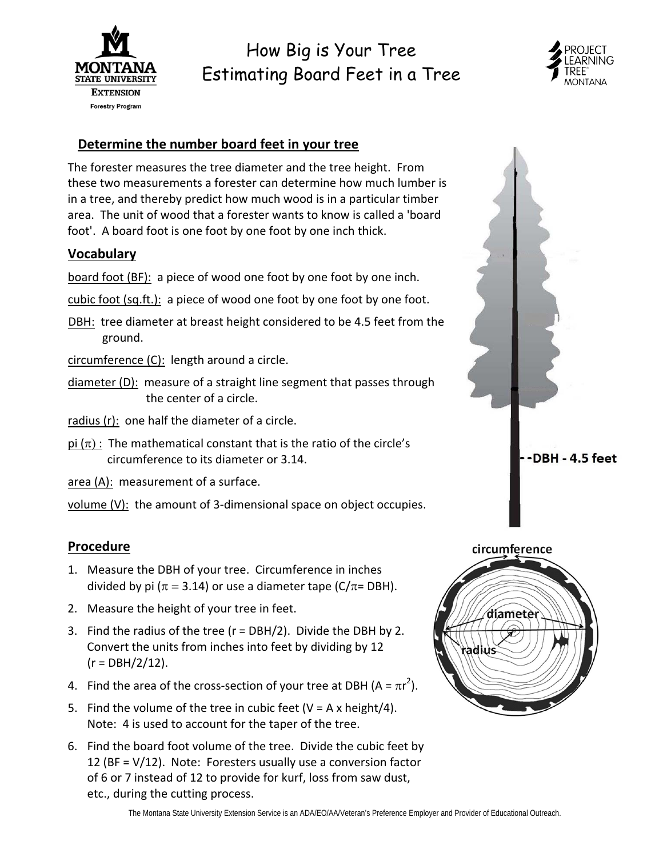

# How Big is Your Tree Estimating Board Feet in a Tree



## **Determine the number board feet in your tree**

 The forester measures the tree diameter and the tree height. From these two measurements a forester can determine how much lumber is in a tree, and thereby predict how much wood is in a particular timber area. The unit of wood that a forester wants to know is called a 'board foot'. A board foot is one foot by one foot by one inch thick.

### **Vocabulary**

board foot (BF): a piece of wood one foot by one foot by one inch.

- cubic foot (sq.ft.): a piece of wood one foot by one foot by one foot.
- DBH: tree diameter at breast height considered to be 4.5 feet from the ground.

circumference (C): length around a circle.

diameter (D): measure of a straight line segment that passes through the center of a circle.

radius (r): one half the diameter of a circle.

 $pi (\pi)$ : The mathematical constant that is the ratio of the circle's circumference to its diameter or 3.14.

area (A): measurement of a surface.

volume (V): the amount of 3-dimensional space on object occupies.

### **Procedure**

- 1. Measure the DBH of your tree. Circumference in inches divided by pi ( $\pi = 3.14$ ) or use a diameter tape (C/ $\pi$ = DBH).
- 2. Measure the height of your tree in feet.
- 3. Find the radius of the tree (r = DBH/2). Divide the DBH by 2. Convert the units from inches into feet by dividing by 12 (r = DBH/2/12).
- 4. Find the area of the cross-section of your tree at DBH (A =  $\pi r^2$ ).
- 5. Find the volume of the tree in cubic feet (V = A x height/4). Note: 4 is used to account for the taper of the tree.
- 6. Find the board foot volume of the tree. Divide the cubic feet by 12 (BF = V/12). Note: Foresters usually use a conversion factor of 6 or 7 instead of 12 to provide for kurf, loss from saw dust, etc., during the cutting process.